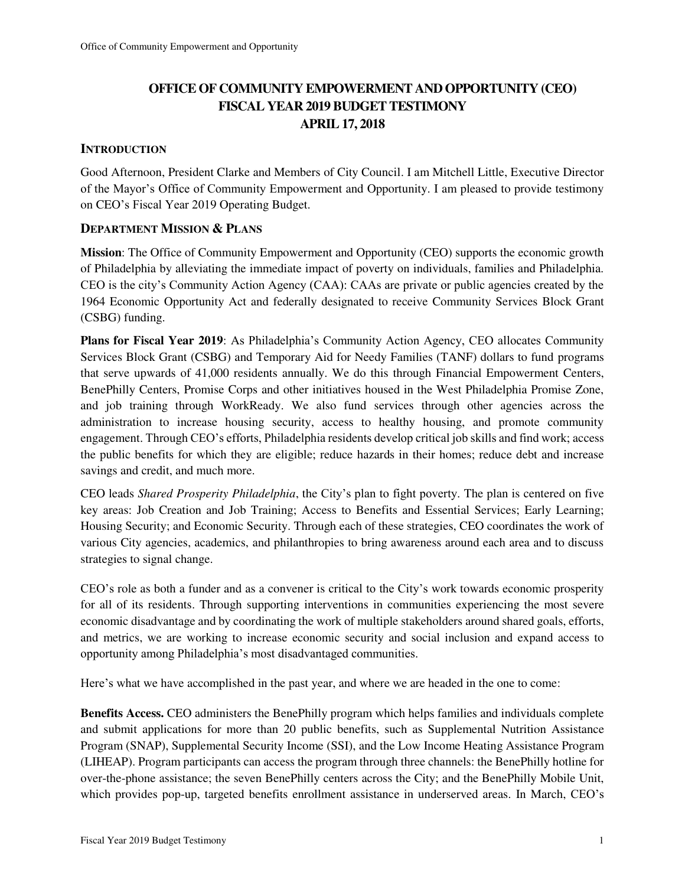## **OFFICE OF COMMUNITY EMPOWERMENT AND OPPORTUNITY (CEO) FISCAL YEAR 2019 BUDGET TESTIMONY APRIL 17, 2018**

### **INTRODUCTION**

Good Afternoon, President Clarke and Members of City Council. I am Mitchell Little, Executive Director of the Mayor's Office of Community Empowerment and Opportunity. I am pleased to provide testimony on CEO's Fiscal Year 2019 Operating Budget.

### **DEPARTMENT MISSION & PLANS**

**Mission**: The Office of Community Empowerment and Opportunity (CEO) supports the economic growth of Philadelphia by alleviating the immediate impact of poverty on individuals, families and Philadelphia. CEO is the city's Community Action Agency (CAA): CAAs are private or public agencies created by the 1964 Economic Opportunity Act and federally designated to receive Community Services Block Grant (CSBG) funding.

**Plans for Fiscal Year 2019**: As Philadelphia's Community Action Agency, CEO allocates Community Services Block Grant (CSBG) and Temporary Aid for Needy Families (TANF) dollars to fund programs that serve upwards of 41,000 residents annually. We do this through Financial Empowerment Centers, BenePhilly Centers, Promise Corps and other initiatives housed in the West Philadelphia Promise Zone, and job training through WorkReady. We also fund services through other agencies across the administration to increase housing security, access to healthy housing, and promote community engagement. Through CEO's efforts, Philadelphia residents develop critical job skills and find work; access the public benefits for which they are eligible; reduce hazards in their homes; reduce debt and increase savings and credit, and much more.

CEO leads *Shared Prosperity Philadelphia*, the City's plan to fight poverty. The plan is centered on five key areas: Job Creation and Job Training; Access to Benefits and Essential Services; Early Learning; Housing Security; and Economic Security. Through each of these strategies, CEO coordinates the work of various City agencies, academics, and philanthropies to bring awareness around each area and to discuss strategies to signal change.

CEO's role as both a funder and as a convener is critical to the City's work towards economic prosperity for all of its residents. Through supporting interventions in communities experiencing the most severe economic disadvantage and by coordinating the work of multiple stakeholders around shared goals, efforts, and metrics, we are working to increase economic security and social inclusion and expand access to opportunity among Philadelphia's most disadvantaged communities.

Here's what we have accomplished in the past year, and where we are headed in the one to come:

**Benefits Access.** CEO administers the BenePhilly program which helps families and individuals complete and submit applications for more than 20 public benefits, such as Supplemental Nutrition Assistance Program (SNAP), Supplemental Security Income (SSI), and the Low Income Heating Assistance Program (LIHEAP). Program participants can access the program through three channels: the BenePhilly hotline for over-the-phone assistance; the seven BenePhilly centers across the City; and the BenePhilly Mobile Unit, which provides pop-up, targeted benefits enrollment assistance in underserved areas. In March, CEO's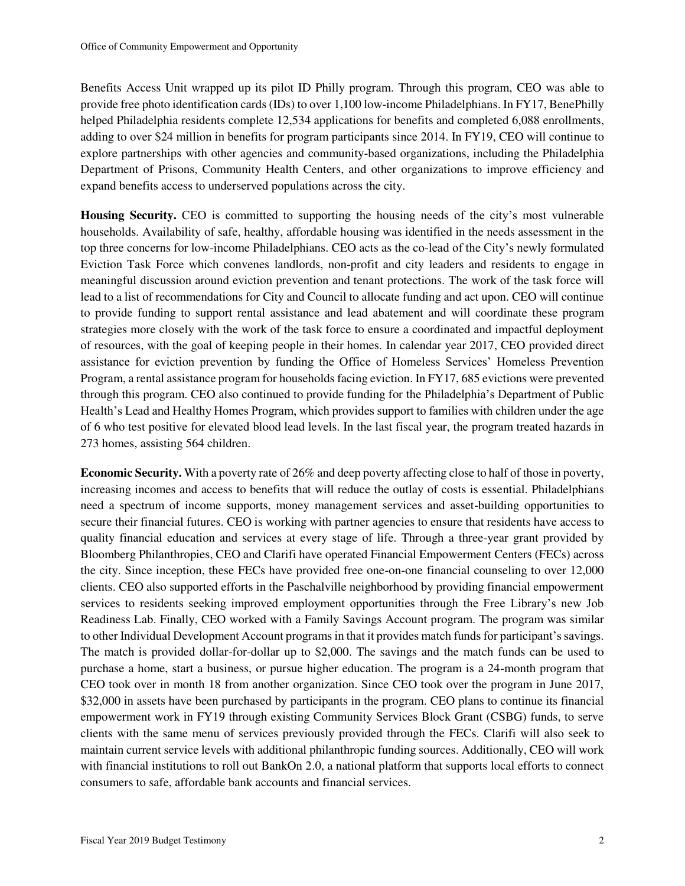Benefits Access Unit wrapped up its pilot ID Philly program. Through this program, CEO was able to provide free photo identification cards (IDs) to over 1,100 low-income Philadelphians. In FY17, BenePhilly helped Philadelphia residents complete 12,534 applications for benefits and completed 6,088 enrollments, adding to over \$24 million in benefits for program participants since 2014. In FY19, CEO will continue to explore partnerships with other agencies and community-based organizations, including the Philadelphia Department of Prisons, Community Health Centers, and other organizations to improve efficiency and expand benefits access to underserved populations across the city.

**Housing Security.** CEO is committed to supporting the housing needs of the city's most vulnerable households. Availability of safe, healthy, affordable housing was identified in the needs assessment in the top three concerns for low-income Philadelphians. CEO acts as the co-lead of the City's newly formulated Eviction Task Force which convenes landlords, non-profit and city leaders and residents to engage in meaningful discussion around eviction prevention and tenant protections. The work of the task force will lead to a list of recommendations for City and Council to allocate funding and act upon. CEO will continue to provide funding to support rental assistance and lead abatement and will coordinate these program strategies more closely with the work of the task force to ensure a coordinated and impactful deployment of resources, with the goal of keeping people in their homes. In calendar year 2017, CEO provided direct assistance for eviction prevention by funding the Office of Homeless Services' Homeless Prevention Program, a rental assistance program for households facing eviction. In FY17, 685 evictions were prevented through this program. CEO also continued to provide funding for the Philadelphia's Department of Public Health's Lead and Healthy Homes Program, which provides support to families with children under the age of 6 who test positive for elevated blood lead levels. In the last fiscal year, the program treated hazards in 273 homes, assisting 564 children.

**Economic Security.** With a poverty rate of 26% and deep poverty affecting close to half of those in poverty, increasing incomes and access to benefits that will reduce the outlay of costs is essential. Philadelphians need a spectrum of income supports, money management services and asset-building opportunities to secure their financial futures. CEO is working with partner agencies to ensure that residents have access to quality financial education and services at every stage of life. Through a three-year grant provided by Bloomberg Philanthropies, CEO and Clarifi have operated Financial Empowerment Centers (FECs) across the city. Since inception, these FECs have provided free one-on-one financial counseling to over 12,000 clients. CEO also supported efforts in the Paschalville neighborhood by providing financial empowerment services to residents seeking improved employment opportunities through the Free Library's new Job Readiness Lab. Finally, CEO worked with a Family Savings Account program. The program was similar to other Individual Development Account programs in that it provides match funds for participant's savings. The match is provided dollar-for-dollar up to \$2,000. The savings and the match funds can be used to purchase a home, start a business, or pursue higher education. The program is a 24-month program that CEO took over in month 18 from another organization. Since CEO took over the program in June 2017, \$32,000 in assets have been purchased by participants in the program. CEO plans to continue its financial empowerment work in FY19 through existing Community Services Block Grant (CSBG) funds, to serve clients with the same menu of services previously provided through the FECs. Clarifi will also seek to maintain current service levels with additional philanthropic funding sources. Additionally, CEO will work with financial institutions to roll out BankOn 2.0, a national platform that supports local efforts to connect consumers to safe, affordable bank accounts and financial services.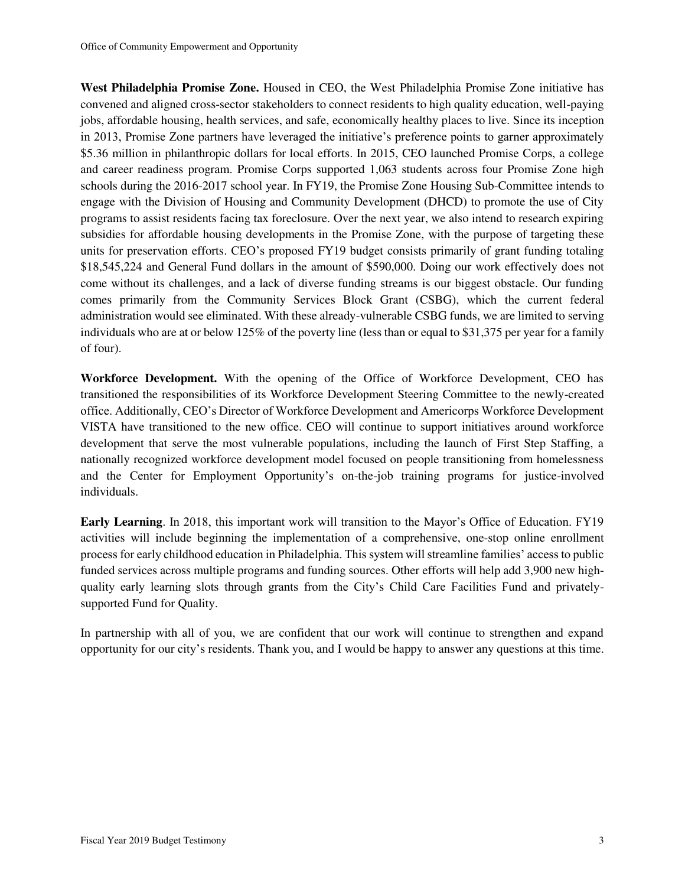**West Philadelphia Promise Zone.** Housed in CEO, the West Philadelphia Promise Zone initiative has convened and aligned cross-sector stakeholders to connect residents to high quality education, well-paying jobs, affordable housing, health services, and safe, economically healthy places to live. Since its inception in 2013, Promise Zone partners have leveraged the initiative's preference points to garner approximately \$5.36 million in philanthropic dollars for local efforts. In 2015, CEO launched Promise Corps, a college and career readiness program. Promise Corps supported 1,063 students across four Promise Zone high schools during the 2016-2017 school year. In FY19, the Promise Zone Housing Sub-Committee intends to engage with the Division of Housing and Community Development (DHCD) to promote the use of City programs to assist residents facing tax foreclosure. Over the next year, we also intend to research expiring subsidies for affordable housing developments in the Promise Zone, with the purpose of targeting these units for preservation efforts. CEO's proposed FY19 budget consists primarily of grant funding totaling \$18,545,224 and General Fund dollars in the amount of \$590,000. Doing our work effectively does not come without its challenges, and a lack of diverse funding streams is our biggest obstacle. Our funding comes primarily from the Community Services Block Grant (CSBG), which the current federal administration would see eliminated. With these already-vulnerable CSBG funds, we are limited to serving individuals who are at or below 125% of the poverty line (less than or equal to \$31,375 per year for a family of four).

**Workforce Development.** With the opening of the Office of Workforce Development, CEO has transitioned the responsibilities of its Workforce Development Steering Committee to the newly-created office. Additionally, CEO's Director of Workforce Development and Americorps Workforce Development VISTA have transitioned to the new office. CEO will continue to support initiatives around workforce development that serve the most vulnerable populations, including the launch of First Step Staffing, a nationally recognized workforce development model focused on people transitioning from homelessness and the Center for Employment Opportunity's on-the-job training programs for justice-involved individuals.

**Early Learning**. In 2018, this important work will transition to the Mayor's Office of Education. FY19 activities will include beginning the implementation of a comprehensive, one-stop online enrollment process for early childhood education in Philadelphia. This system will streamline families' access to public funded services across multiple programs and funding sources. Other efforts will help add 3,900 new highquality early learning slots through grants from the City's Child Care Facilities Fund and privatelysupported Fund for Quality.

In partnership with all of you, we are confident that our work will continue to strengthen and expand opportunity for our city's residents. Thank you, and I would be happy to answer any questions at this time.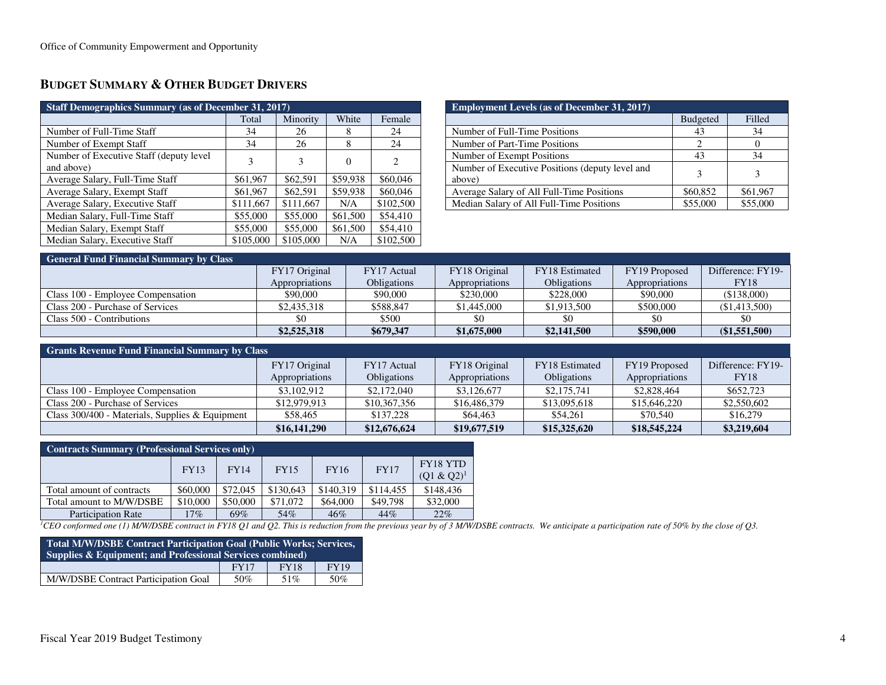## **BUDGET SUMMARY & OTHER BUDGET DRIVERS**

| <b>Staff Demographics Summary (as of December 31, 2017)</b> |           |           |          |           |  |  |  |
|-------------------------------------------------------------|-----------|-----------|----------|-----------|--|--|--|
|                                                             | Total     | Minority  | White    | Female    |  |  |  |
| Number of Full-Time Staff                                   | 34        | 26        | 8        | 24        |  |  |  |
| Number of Exempt Staff                                      | 34        | 26        | 8        | 24        |  |  |  |
| Number of Executive Staff (deputy level)<br>and above)      | 3         | 3         | 0        | 2         |  |  |  |
| Average Salary, Full-Time Staff                             | \$61,967  | \$62,591  | \$59,938 | \$60,046  |  |  |  |
| Average Salary, Exempt Staff                                | \$61,967  | \$62,591  | \$59,938 | \$60,046  |  |  |  |
| Average Salary, Executive Staff                             | \$111,667 | \$111,667 | N/A      | \$102,500 |  |  |  |
| Median Salary, Full-Time Staff                              | \$55,000  | \$55,000  | \$61,500 | \$54,410  |  |  |  |
| Median Salary, Exempt Staff                                 | \$55,000  | \$55,000  | \$61,500 | \$54,410  |  |  |  |
| Median Salary, Executive Staff                              | \$105,000 | \$105,000 | N/A      | \$102,500 |  |  |  |

| <b>Employment Levels (as of December 31, 2017)</b> |                 |          |  |  |  |  |
|----------------------------------------------------|-----------------|----------|--|--|--|--|
|                                                    | <b>Budgeted</b> | Filled   |  |  |  |  |
| Number of Full-Time Positions                      | 43              | 34       |  |  |  |  |
| Number of Part-Time Positions                      |                 |          |  |  |  |  |
| Number of Exempt Positions                         | 43              | 34       |  |  |  |  |
| Number of Executive Positions (deputy level and    |                 |          |  |  |  |  |
| above)                                             |                 |          |  |  |  |  |
| Average Salary of All Full-Time Positions          | \$60,852        | \$61,967 |  |  |  |  |
| Median Salary of All Full-Time Positions           | \$55,000        | \$55,000 |  |  |  |  |

| <b>General Fund Financial Summary by Class</b> |                |                    |                |                    |                |                   |  |  |
|------------------------------------------------|----------------|--------------------|----------------|--------------------|----------------|-------------------|--|--|
|                                                | FY17 Original  | FY17 Actual        | FY18 Original  | FY18 Estimated     | FY19 Proposed  | Difference: FY19- |  |  |
|                                                | Appropriations | <b>Obligations</b> | Appropriations | <b>Obligations</b> | Appropriations | <b>FY18</b>       |  |  |
| Class 100 - Employee Compensation              | \$90,000       | \$90,000           | \$230,000      | \$228,000          | \$90,000       | (\$138,000)       |  |  |
| Class 200 - Purchase of Services               | \$2,435,318    | \$588.847          | \$1,445,000    | \$1,913,500        | \$500,000      | (S1.413.500)      |  |  |
| Class 500 - Contributions                      |                | \$500              | \$0            | \$0                |                |                   |  |  |
|                                                | \$2,525,318    | \$679,347          | \$1,675,000    | \$2,141,500        | \$590,000      | (\$1,551,500)     |  |  |

#### **Grants Revenue Fund Financial Summary by Class**

|                                                   | FY17 Original<br>Appropriations | FY17 Actual<br><b>Obligations</b> | FY18 Original<br>Appropriations | FY18 Estimated<br><b>Obligations</b> | FY19 Proposed<br>Appropriations | Difference: FY19-<br>FY18 |
|---------------------------------------------------|---------------------------------|-----------------------------------|---------------------------------|--------------------------------------|---------------------------------|---------------------------|
| Class 100 - Employee Compensation                 | \$3,102,912                     | \$2,172,040                       | \$3,126,677                     | \$2,175,741                          | \$2,828,464                     | \$652,723                 |
| Class 200 - Purchase of Services                  | \$12,979,913                    | \$10,367,356                      | \$16,486,379                    | \$13,095,618                         | \$15,646,220                    | \$2,550,602               |
| Class $300/400$ - Materials, Supplies & Equipment | \$58.465                        | \$137,228                         | \$64,463                        | \$54.261                             | \$70,540                        | \$16,279                  |
|                                                   | \$16,141,290                    | \$12,676,624                      | \$19,677,519                    | \$15,325,620                         | \$18,545,224                    | \$3,219,604               |

| <b>Contracts Summary (Professional Services only)</b> |          |             |             |             |             |                                  |  |
|-------------------------------------------------------|----------|-------------|-------------|-------------|-------------|----------------------------------|--|
|                                                       | FY13     | <b>FY14</b> | <b>FY15</b> | <b>FY16</b> | <b>FY17</b> | <b>FY18 YTD</b><br>$(Q1 & Q2)^1$ |  |
| Total amount of contracts                             | \$60,000 | \$72,045    | \$130,643   | \$140.319   | \$114,455   | \$148,436                        |  |
| Total amount to M/W/DSBE                              | \$10,000 | \$50,000    | \$71,072    | \$64,000    | \$49,798    | \$32,000                         |  |
| <b>Participation Rate</b>                             | 17%      | 69%         | 54%         | 46%         | 44%         | 22%                              |  |

<sup>1</sup>CEO conformed one (1) M/W/DSBE contract in FY18 Q1 and Q2. This is reduction from the previous year by of 3 M/W/DSBE contracts. We anticipate a participation rate of 50% by the close of Q3.

| Total M/W/DSBE Contract Participation Goal (Public Works; Services,<br><b>Supplies &amp; Equipment; and Professional Services combined)</b> |      |             |             |  |  |  |
|---------------------------------------------------------------------------------------------------------------------------------------------|------|-------------|-------------|--|--|--|
|                                                                                                                                             | FY17 | <b>FY18</b> | <b>FY19</b> |  |  |  |
| M/W/DSBE Contract Participation Goal                                                                                                        | 50%  | 51%         | .50%        |  |  |  |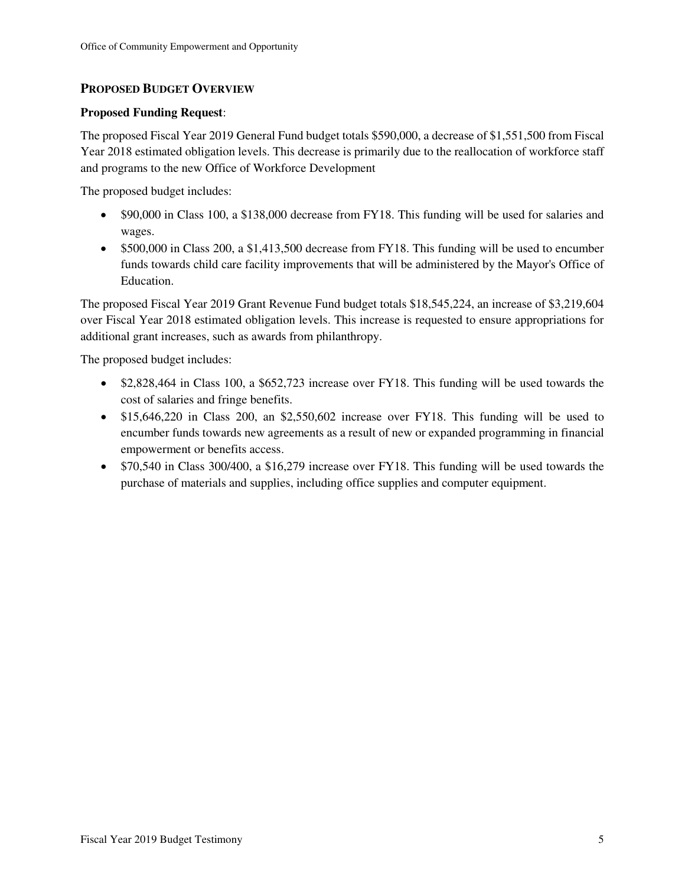## **PROPOSED BUDGET OVERVIEW**

### **Proposed Funding Request**:

The proposed Fiscal Year 2019 General Fund budget totals \$590,000, a decrease of \$1,551,500 from Fiscal Year 2018 estimated obligation levels. This decrease is primarily due to the reallocation of workforce staff and programs to the new Office of Workforce Development

The proposed budget includes:

- \$90,000 in Class 100, a \$138,000 decrease from FY18. This funding will be used for salaries and wages.
- \$500,000 in Class 200, a \$1,413,500 decrease from FY18. This funding will be used to encumber funds towards child care facility improvements that will be administered by the Mayor's Office of Education.

The proposed Fiscal Year 2019 Grant Revenue Fund budget totals \$18,545,224, an increase of \$3,219,604 over Fiscal Year 2018 estimated obligation levels. This increase is requested to ensure appropriations for additional grant increases, such as awards from philanthropy.

The proposed budget includes:

- \$2,828,464 in Class 100, a \$652,723 increase over FY18. This funding will be used towards the cost of salaries and fringe benefits.
- \$15,646,220 in Class 200, an \$2,550,602 increase over FY18. This funding will be used to encumber funds towards new agreements as a result of new or expanded programming in financial empowerment or benefits access.
- \$70,540 in Class 300/400, a \$16,279 increase over FY18. This funding will be used towards the purchase of materials and supplies, including office supplies and computer equipment.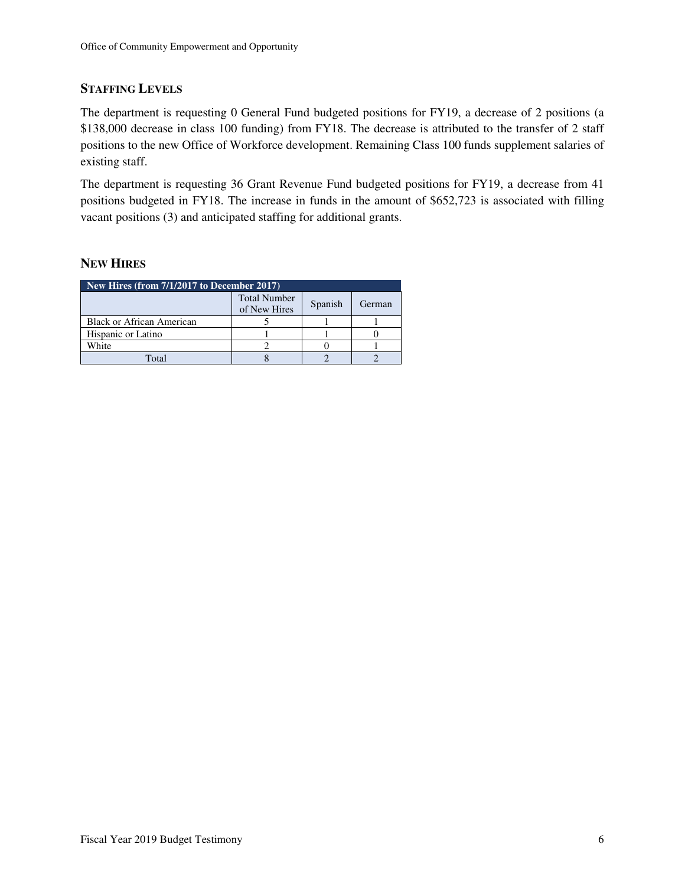### **STAFFING LEVELS**

The department is requesting 0 General Fund budgeted positions for FY19, a decrease of 2 positions (a \$138,000 decrease in class 100 funding) from FY18. The decrease is attributed to the transfer of 2 staff positions to the new Office of Workforce development. Remaining Class 100 funds supplement salaries of existing staff.

The department is requesting 36 Grant Revenue Fund budgeted positions for FY19, a decrease from 41 positions budgeted in FY18. The increase in funds in the amount of \$652,723 is associated with filling vacant positions (3) and anticipated staffing for additional grants.

#### **NEW HIRES**

| New Hires (from $7/1/2\overline{017}$ to December 2017) |                                     |         |        |  |  |  |
|---------------------------------------------------------|-------------------------------------|---------|--------|--|--|--|
|                                                         | <b>Total Number</b><br>of New Hires | Spanish | German |  |  |  |
| <b>Black or African American</b>                        |                                     |         |        |  |  |  |
| Hispanic or Latino                                      |                                     |         |        |  |  |  |
| White                                                   |                                     |         |        |  |  |  |
| Total                                                   |                                     |         |        |  |  |  |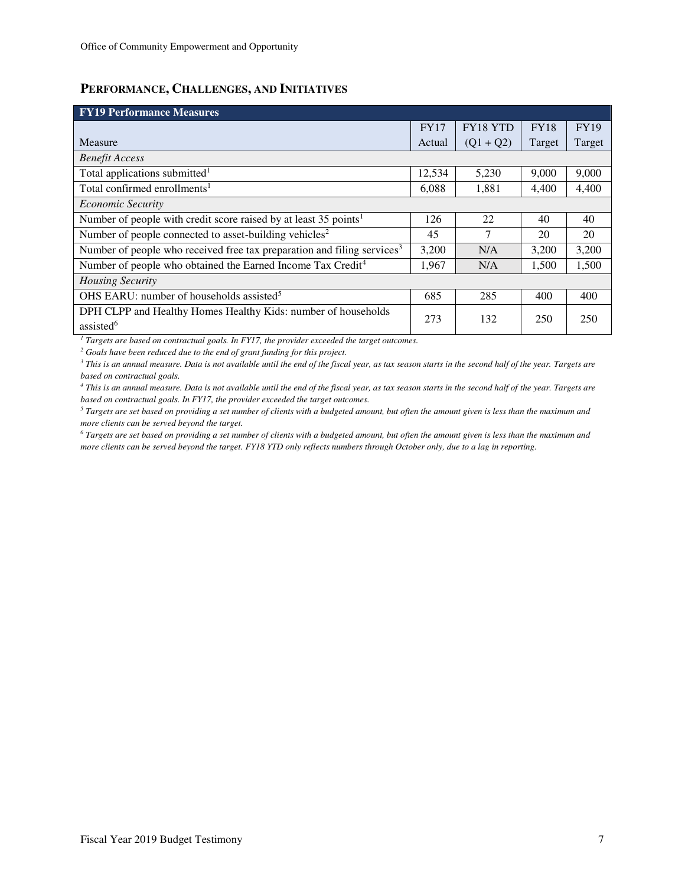### **PERFORMANCE, CHALLENGES, AND INITIATIVES**

| <b>FY19 Performance Measures</b>                                                    |             |                 |             |             |
|-------------------------------------------------------------------------------------|-------------|-----------------|-------------|-------------|
|                                                                                     | <b>FY17</b> | <b>FY18 YTD</b> | <b>FY18</b> | <b>FY19</b> |
| Measure                                                                             | Actual      | $(Q1 + Q2)$     | Target      | Target      |
| <b>Benefit Access</b>                                                               |             |                 |             |             |
| Total applications submitted <sup>1</sup>                                           | 12,534      | 5,230           | 9,000       | 9,000       |
| Total confirmed enrollments <sup>1</sup>                                            | 6,088       | 1,881           | 4,400       | 4,400       |
| <b>Economic Security</b>                                                            |             |                 |             |             |
| Number of people with credit score raised by at least 35 points <sup>1</sup>        | 126         | 22              | 40          | 40          |
| Number of people connected to asset-building vehicles <sup>2</sup>                  | 45          | 7               | 20          | 20          |
| Number of people who received free tax preparation and filing services <sup>3</sup> | 3,200       | N/A             | 3,200       | 3,200       |
| Number of people who obtained the Earned Income Tax Credit <sup>4</sup>             | 1,967       | N/A             | 1,500       | 1,500       |
| <b>Housing Security</b>                                                             |             |                 |             |             |
| OHS EARU: number of households assisted <sup>5</sup>                                | 685         | 285             | 400         | 400         |
| DPH CLPP and Healthy Homes Healthy Kids: number of households                       | 273         | 132             | 250         | 250         |
| assisted <sup>6</sup>                                                               |             |                 |             |             |

<sup>1</sup> Targets are based on contractual goals. In FY17, the provider exceeded the target outcomes.

<sup>2</sup> Goals have been reduced due to the end of grant funding for this project.

*3 This is an annual measure. Data is not available until the end of the fiscal year, as tax season starts in the second half of the year. Targets are based on contractual goals.* 

*4 This is an annual measure. Data is not available until the end of the fiscal year, as tax season starts in the second half of the year. Targets are based on contractual goals. In FY17, the provider exceeded the target outcomes.* 

*5 Targets are set based on providing a set number of clients with a budgeted amount, but often the amount given is less than the maximum and more clients can be served beyond the target.* 

*6 Targets are set based on providing a set number of clients with a budgeted amount, but often the amount given is less than the maximum and more clients can be served beyond the target. FY18 YTD only reflects numbers through October only, due to a lag in reporting.*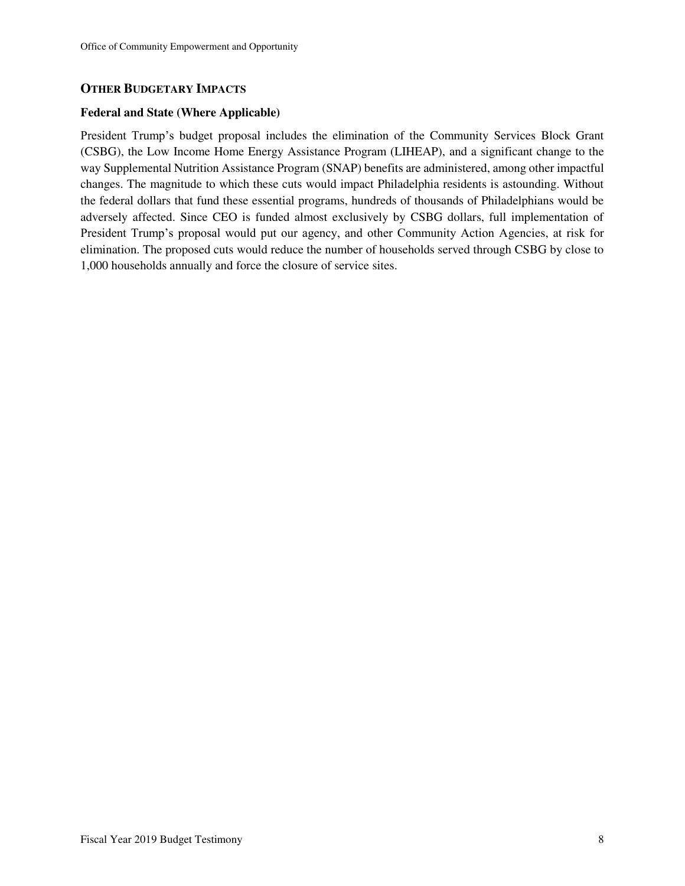#### **OTHER BUDGETARY IMPACTS**

#### **Federal and State (Where Applicable)**

President Trump's budget proposal includes the elimination of the Community Services Block Grant (CSBG), the Low Income Home Energy Assistance Program (LIHEAP), and a significant change to the way Supplemental Nutrition Assistance Program (SNAP) benefits are administered, among other impactful changes. The magnitude to which these cuts would impact Philadelphia residents is astounding. Without the federal dollars that fund these essential programs, hundreds of thousands of Philadelphians would be adversely affected. Since CEO is funded almost exclusively by CSBG dollars, full implementation of President Trump's proposal would put our agency, and other Community Action Agencies, at risk for elimination. The proposed cuts would reduce the number of households served through CSBG by close to 1,000 households annually and force the closure of service sites.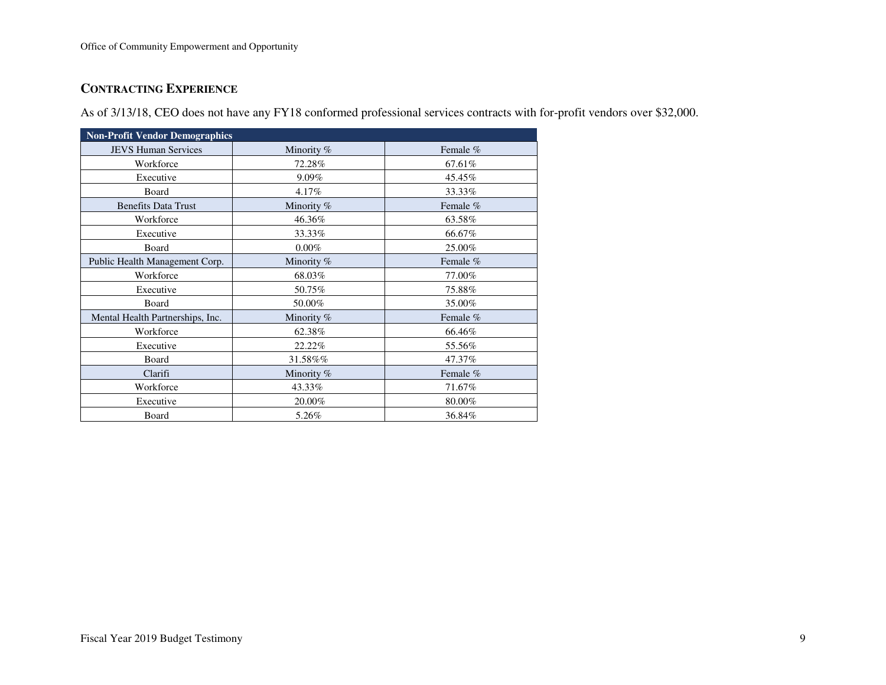## **CONTRACTING EXPERIENCE**

As of 3/13/18, CEO does not have any FY18 conformed professional services contracts with for-profit vendors over \$32,000.

| <b>Non-Profit Vendor Demographics</b> |            |          |  |  |  |  |
|---------------------------------------|------------|----------|--|--|--|--|
| <b>JEVS Human Services</b>            | Minority % | Female % |  |  |  |  |
| Workforce                             | 72.28%     | 67.61%   |  |  |  |  |
| Executive                             | 9.09%      | 45.45%   |  |  |  |  |
| Board                                 | 4.17%      | 33.33%   |  |  |  |  |
| <b>Benefits Data Trust</b>            | Minority % | Female % |  |  |  |  |
| Workforce                             | 46.36%     | 63.58%   |  |  |  |  |
| Executive                             | 33.33%     | 66.67%   |  |  |  |  |
| Board                                 | $0.00\%$   | 25.00%   |  |  |  |  |
| Public Health Management Corp.        | Minority % | Female % |  |  |  |  |
| Workforce                             | 68.03%     | 77.00%   |  |  |  |  |
| Executive                             | 50.75%     | 75.88%   |  |  |  |  |
| Board                                 | 50.00%     | 35.00%   |  |  |  |  |
| Mental Health Partnerships, Inc.      | Minority % | Female % |  |  |  |  |
| Workforce                             | 62.38%     | 66.46%   |  |  |  |  |
| Executive                             | 22.22%     | 55.56%   |  |  |  |  |
| Board                                 | 31.58%%    | 47.37%   |  |  |  |  |
| Clarifi                               | Minority % | Female % |  |  |  |  |
| Workforce                             | 43.33%     | 71.67%   |  |  |  |  |
| Executive                             | 20.00%     | 80.00%   |  |  |  |  |
| Board                                 | 5.26%      | 36.84%   |  |  |  |  |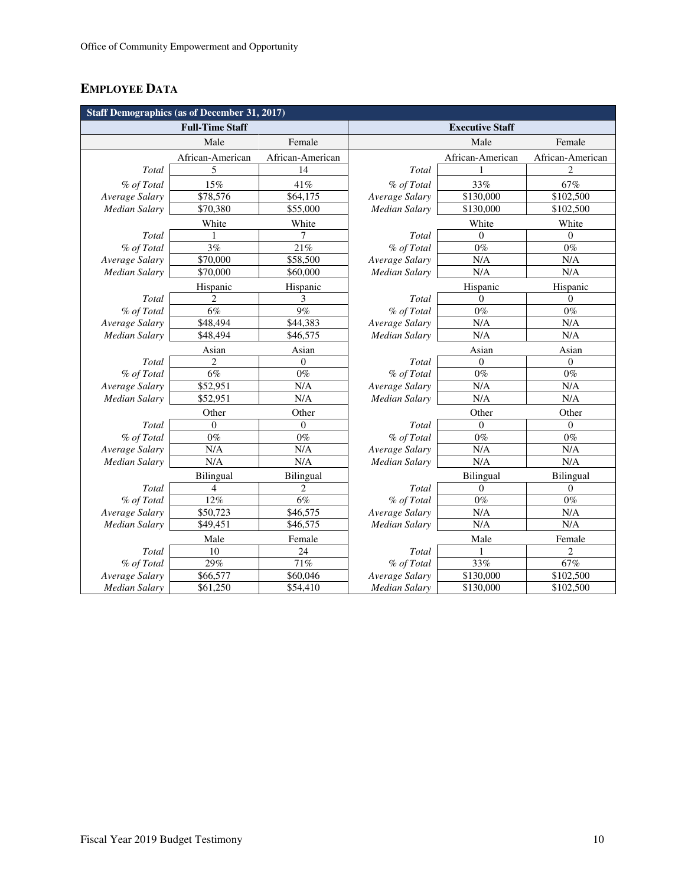# **EMPLOYEE DATA**

|                        | <b>Staff Demographics (as of December 31, 2017)</b> |                  |                      |                        |                          |
|------------------------|-----------------------------------------------------|------------------|----------------------|------------------------|--------------------------|
|                        | <b>Full-Time Staff</b>                              |                  |                      | <b>Executive Staff</b> |                          |
|                        | Male                                                | Female           |                      | Male                   | Female                   |
|                        | African-American                                    | African-American |                      | African-American       | African-American         |
| Total                  | 5                                                   | 14               | Total                |                        | $\overline{\mathcal{L}}$ |
| % of Total             | 15%                                                 | 41%              | % of Total           | 33%                    | 67%                      |
| Average Salary         | \$78,576                                            | \$64,175         | Average Salary       | \$130,000              | \$102,500                |
| Median Salary          | \$70,380                                            | \$55,000         | Median Salary        | \$130,000              | \$102,500                |
|                        | White                                               | White            |                      | White                  | White                    |
| Total                  |                                                     | 7                | Total                | $\Omega$               | $\theta$                 |
| % of Total             | 3%                                                  | 21%              | % of Total           | $0\%$                  | $0\%$                    |
| Average Salary         | \$70,000                                            | \$58,500         | Average Salary       | N/A                    | N/A                      |
| Median Salary          | \$70,000                                            | \$60,000         | <b>Median Salary</b> | N/A                    | N/A                      |
|                        | Hispanic                                            | Hispanic         |                      | Hispanic               | Hispanic                 |
| Total                  | 2                                                   | 3                | Total                | $\mathbf{0}$           | $\theta$                 |
| % of Total             | 6%                                                  | 9%               | % of Total           | $0\%$                  | $0\%$                    |
| Average Salary         | \$48,494                                            | \$44,383         | Average Salary       | N/A                    | N/A                      |
| <b>Median Salary</b>   | \$48,494                                            | \$46,575         | <b>Median Salary</b> | N/A                    | N/A                      |
|                        | Asian                                               | Asian            |                      | Asian                  | Asian                    |
| $\operatorname{Total}$ | $\overline{2}$                                      | 0                | Total                | $\Omega$               | $\Omega$                 |
| % of Total             | $\overline{6\%}$                                    | $0\%$            | % of Total           | $\overline{0\%}$       | $0\%$                    |
| Average Salary         | \$52,951                                            | N/A              | Average Salary       | N/A                    | N/A                      |
| Median Salary          | \$52,951                                            | N/A              | Median Salary        | N/A                    | N/A                      |
|                        | Other                                               | Other            |                      | Other                  | Other                    |
| Total                  | $\theta$                                            | $\theta$         | Total                | $\Omega$               | $\Omega$                 |
| % of Total             | $0\%$                                               | $0\%$            | % of Total           | $0\%$                  | $0\%$                    |
| Average Salary         | N/A                                                 | N/A              | Average Salary       | N/A                    | N/A                      |
| Median Salary          | N/A                                                 | N/A              | Median Salary        | N/A                    | N/A                      |
|                        | <b>Bilingual</b>                                    | Bilingual        |                      | Bilingual              | <b>Bilingual</b>         |
| Total                  | 4                                                   | 2                | Total                | $\mathbf{0}$           | $\mathbf{0}$             |
| % of Total             | 12%                                                 | 6%               | % of Total           | $0\%$                  | $0\%$                    |
| Average Salary         | \$50,723                                            | \$46,575         | Average Salary       | N/A                    | N/A                      |
| Median Salary          | \$49,451                                            | \$46,575         | Median Salary        | N/A                    | N/A                      |
|                        | Male                                                | Female           |                      | Male                   | Female                   |
| Total                  | 10                                                  | 24               | Total                |                        | $\overline{c}$           |
| % of Total             | 29%                                                 | $71\%$           | % of Total           | 33%                    | 67%                      |
| Average Salary         | \$66,577                                            | \$60,046         | Average Salary       | \$130,000              | \$102,500                |
| Median Salary          | \$61,250                                            | \$54,410         | Median Salary        | \$130,000              | \$102,500                |